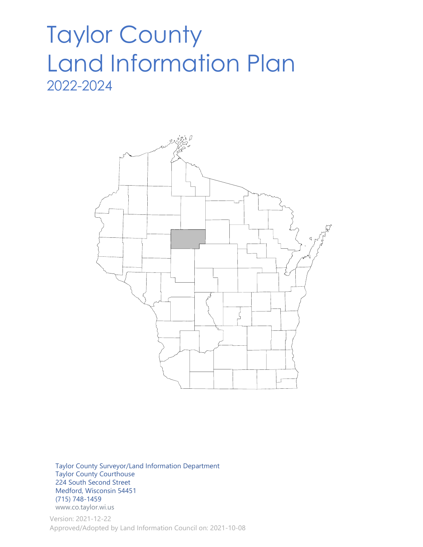# Taylor County Land Information Plan 2022-2024



 Taylor County Surveyor/Land Information Department Taylor County Courthouse 224 South Second Street Medford, Wisconsin 54451 (715) 748-1459 www.co.taylor.wi.us

Version: 2021-12-22 Approved/Adopted by Land Information Council on: 2021-10-08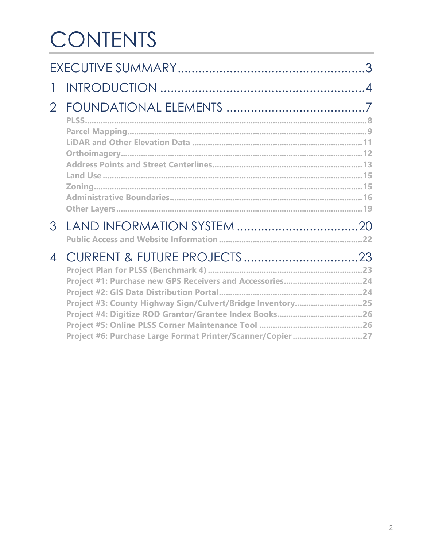# CONTENTS

|                |                                                                                                                          | $\mathcal{S}$ |
|----------------|--------------------------------------------------------------------------------------------------------------------------|---------------|
| 1              |                                                                                                                          |               |
| $\overline{2}$ |                                                                                                                          |               |
| 3              |                                                                                                                          |               |
| 4              | Project #3: County Highway Sign/Culvert/Bridge Inventory25<br>Project #6: Purchase Large Format Printer/Scanner/Copier27 |               |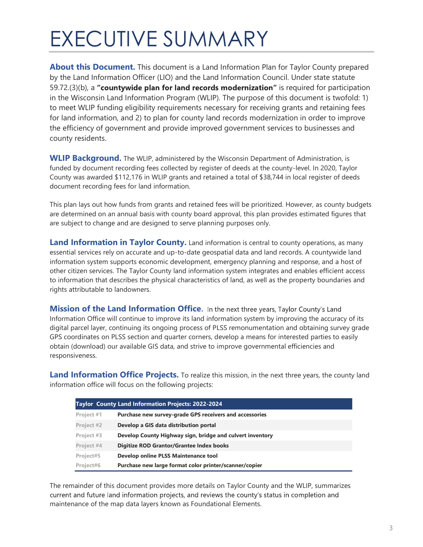# EXECUTIVE SUMMARY

About this Document. This document is a Land Information Plan for Taylor County prepared by the Land Information Officer (LIO) and the Land Information Council. Under state statute  $59.72(3)(b)$ , a "countywide plan for land records modernization" is required for participation in the Wisconsin Land Information Program (WLIP). The purpose of this document is twofold: 1) to meet WLIP funding eligibility requirements necessary for receiving grants and retaining fees for land information, and 2) to plan for county land records modernization in order to improve the efficiency of government and provide improved government services to businesses and county residents.

WLIP Background. The WLIP, administered by the Wisconsin Department of Administration, is funded by document recording fees collected by register of deeds at the county-level. In 2020, Taylor County was awarded \$112,176 in WLIP grants and retained a total of \$38,744 in local register of deeds document recording fees for land information.

This plan lays out how funds from grants and retained fees will be prioritized. However, as county budgets are determined on an annual basis with county board approval, this plan provides estimated figures that are subject to change and are designed to serve planning purposes only.

Land Information in Taylor County. Land information is central to county operations, as many essential services rely on accurate and up-to-date geospatial data and land records. A countywide land information system supports economic development, emergency planning and response, and a host of other citizen services. The Taylor County land information system integrates and enables efficient access to information that describes the physical characteristics of land, as well as the property boundaries and rights attributable to landowners.

**Mission of the Land Information Office.** In the next three years, Taylor County's Land Information Office will continue to improve its land information system by improving the accuracy of its digital parcel layer, continuing its ongoing process of PLSS remonumentation and obtaining survey grade GPS coordinates on PLSS section and quarter corners, develop a means for interested parties to easily obtain (download) our available GIS data, and strive to improve governmental efficiencies and responsiveness.

Land Information Office Projects. To realize this mission, in the next three years, the county land information office will focus on the following projects:

|            | Taylor County Land Information Projects: 2022-2024        |
|------------|-----------------------------------------------------------|
| Project #1 | Purchase new survey-grade GPS receivers and accessories   |
| Project #2 | Develop a GIS data distribution portal                    |
| Project #3 | Develop County Highway sign, bridge and culvert inventory |
| Project #4 | Digitize ROD Grantor/Grantee Index books                  |
| Project#5  | Develop online PLSS Maintenance tool                      |
| Project#6  | Purchase new large format color printer/scanner/copier    |

The remainder of this document provides more details on Taylor County and the WLIP, summarizes current and future land information projects, and reviews the county's status in completion and maintenance of the map data layers known as Foundational Elements.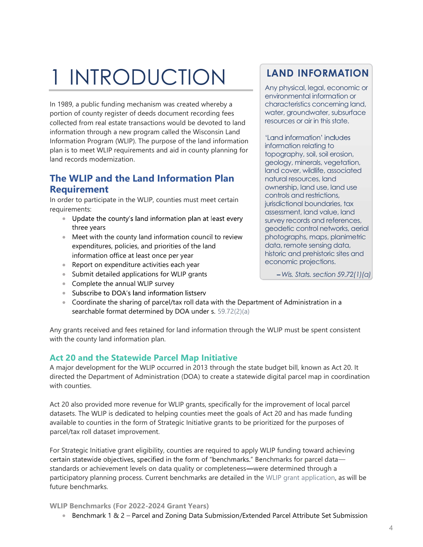# 1 INTRODUCTION

In 1989, a public funding mechanism was created whereby a portion of county register of deeds document recording fees collected from real estate transactions would be devoted to land information through a new program called the Wisconsin Land Information Program (WLIP). The purpose of the land information plan is to meet WLIP requirements and aid in county planning for land records modernization.

## The WLIP and the Land Information Plan Requirement

In order to participate in the WLIP, counties must meet certain requirements:

- Update the county's land information plan at least every three years
- Meet with the county land information council to review expenditures, policies, and priorities of the land information office at least once per year
- Report on expenditure activities each year
- Submit detailed applications for WLIP grants
- Complete the annual WLIP survey
- Subscribe to DOA's land information listserv
- Coordinate the sharing of parcel/tax roll data with the Department of Administration in a searchable format determined by DOA under s. 59.72(2)(a)

Any grants received and fees retained for land information through the WLIP must be spent consistent with the county land information plan.

## Act 20 and the Statewide Parcel Map Initiative

A major development for the WLIP occurred in 2013 through the state budget bill, known as Act 20. It directed the Department of Administration (DOA) to create a statewide digital parcel map in coordination with counties.

Act 20 also provided more revenue for WLIP grants, specifically for the improvement of local parcel datasets. The WLIP is dedicated to helping counties meet the goals of Act 20 and has made funding available to counties in the form of Strategic Initiative grants to be prioritized for the purposes of parcel/tax roll dataset improvement.

For Strategic Initiative grant eligibility, counties are required to apply WLIP funding toward achieving certain statewide objectives, specified in the form of "benchmarks." Benchmarks for parcel datastandards or achievement levels on data quality or completeness—were determined through a participatory planning process. Current benchmarks are detailed in the WLIP grant application, as will be future benchmarks.

#### WLIP Benchmarks (For 2022-2024 Grant Years)

● Benchmark 1 & 2 - Parcel and Zoning Data Submission/Extended Parcel Attribute Set Submission

# LAND INFORMATION

Any physical, legal, economic or environmental information or characteristics concerning land, water, groundwater, subsurface resources or air in this state.

'Land information' includes information relating to topography, soil, soil erosion, geology, minerals, vegetation, land cover, wildlife, associated natural resources, land ownership, land use, land use controls and restrictions, jurisdictional boundaries, tax assessment, land value, land survey records and references, geodetic control networks, aerial photographs, maps, planimetric data, remote sensing data, historic and prehistoric sites and economic projections.

 $-Wis.$  Stats. section 59.72(1)(a)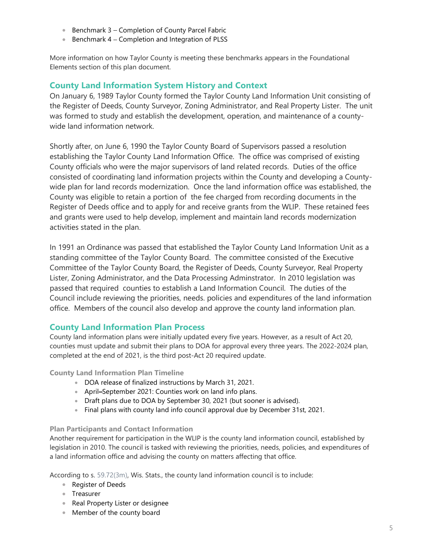- **Benchmark 3 Completion of County Parcel Fabric**
- Benchmark 4 Completion and Integration of PLSS

More information on how Taylor County is meeting these benchmarks appears in the Foundational Elements section of this plan document.

## County Land Information System History and Context

On January 6, 1989 Taylor County formed the Taylor County Land Information Unit consisting of the Register of Deeds, County Surveyor, Zoning Administrator, and Real Property Lister. The unit was formed to study and establish the development, operation, and maintenance of a countywide land information network.

Shortly after, on June 6, 1990 the Taylor County Board of Supervisors passed a resolution establishing the Taylor County Land Information Office. The office was comprised of existing County officials who were the major supervisors of land related records. Duties of the office consisted of coordinating land information projects within the County and developing a Countywide plan for land records modernization. Once the land information office was established, the County was eligible to retain a portion of the fee charged from recording documents in the Register of Deeds office and to apply for and receive grants from the WLIP. These retained fees and grants were used to help develop, implement and maintain land records modernization activities stated in the plan.

In 1991 an Ordinance was passed that established the Taylor County Land Information Unit as a standing committee of the Taylor County Board. The committee consisted of the Executive Committee of the Taylor County Board, the Register of Deeds, County Surveyor, Real Property Lister, Zoning Administrator, and the Data Processing Adminstrator. In 2010 legislation was passed that required counties to establish a Land Information Council. The duties of the Council include reviewing the priorities, needs. policies and expenditures of the land information office. Members of the council also develop and approve the county land information plan.

## County Land Information Plan Process

County land information plans were initially updated every five years. However, as a result of Act 20, counties must update and submit their plans to DOA for approval every three years. The 2022-2024 plan, completed at the end of 2021, is the third post-Act 20 required update.

County Land Information Plan Timeline

- DOA release of finalized instructions by March 31, 2021.
- April-September 2021: Counties work on land info plans.
- Draft plans due to DOA by September 30, 2021 (but sooner is advised).
- Final plans with county land info council approval due by December 31st, 2021.

#### Plan Participants and Contact Information

Another requirement for participation in the WLIP is the county land information council, established by legislation in 2010. The council is tasked with reviewing the priorities, needs, policies, and expenditures of a land information office and advising the county on matters affecting that office.

According to s. 59.72(3m), Wis. Stats., the county land information council is to include:

- Register of Deeds
- Treasurer
- Real Property Lister or designee
- Member of the county board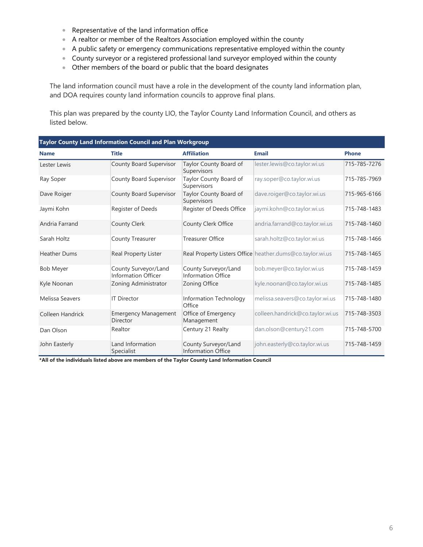- Representative of the land information office
- A realtor or member of the Realtors Association employed within the county
- A public safety or emergency communications representative employed within the county
- County surveyor or a registered professional land surveyor employed within the county
- Other members of the board or public that the board designates

The land information council must have a role in the development of the county land information plan, and DOA requires county land information councils to approve final plans.

This plan was prepared by the county LIO, the Taylor County Land Information Council, and others as listed below.

| Taylor County Land Information Council and Plan Workgroup |                                                    |                                                   |                                                           |              |  |
|-----------------------------------------------------------|----------------------------------------------------|---------------------------------------------------|-----------------------------------------------------------|--------------|--|
| <b>Name</b>                                               | <b>Title</b>                                       | <b>Affiliation</b>                                | <b>Email</b>                                              | <b>Phone</b> |  |
| Lester Lewis                                              | County Board Supervisor                            | Taylor County Board of<br>Supervisors             | lester.lewis@co.taylor.wi.us                              | 715-785-7276 |  |
| Ray Soper                                                 | County Board Supervisor                            | Taylor County Board of<br>Supervisors             | ray.soper@co.taylor.wi.us                                 | 715-785-7969 |  |
| Dave Roiger                                               | County Board Supervisor                            | Taylor County Board of<br>Supervisors             | dave.roiger@co.taylor.wi.us                               | 715-965-6166 |  |
| Jaymi Kohn                                                | Register of Deeds                                  | Register of Deeds Office                          | jaymi.kohn@co.taylor.wi.us                                | 715-748-1483 |  |
| Andria Farrand                                            | <b>County Clerk</b>                                | County Clerk Office                               | andria.farrand@co.taylor.wi.us                            | 715-748-1460 |  |
| Sarah Holtz                                               | County Treasurer                                   | <b>Treasurer Office</b>                           | sarah.holtz@co.taylor.wi.us                               | 715-748-1466 |  |
| <b>Heather Dums</b>                                       | Real Property Lister                               |                                                   | Real Property Listers Office heather.dums@co.taylor.wi.us | 715-748-1465 |  |
| <b>Bob Meyer</b>                                          | County Surveyor/Land<br><b>Information Officer</b> | County Surveyor/Land<br><b>Information Office</b> | bob.meyer@co.taylor.wi.us                                 | 715-748-1459 |  |
| Kyle Noonan                                               | Zoning Administrator                               | Zoning Office                                     | kyle.noonan@co.taylor.wi.us                               | 715-748-1485 |  |
| Melissa Seavers                                           | <b>IT Director</b>                                 | Information Technology<br>Office                  | melissa.seavers@co.taylor.wi.us                           | 715-748-1480 |  |
| Colleen Handrick                                          | <b>Emergency Management</b><br><b>Director</b>     | Office of Emergency<br>Management                 | colleen.handrick@co.taylor.wi.us                          | 715-748-3503 |  |
| Dan Olson                                                 | Realtor                                            | Century 21 Realty                                 | dan.olson@century21.com                                   | 715-748-5700 |  |
| John Easterly                                             | Land Information<br>Specialist                     | County Surveyor/Land<br><b>Information Office</b> | john.easterly@co.taylor.wi.us                             | 715-748-1459 |  |

\*All of the individuals listed above are members of the Taylor County Land Information Council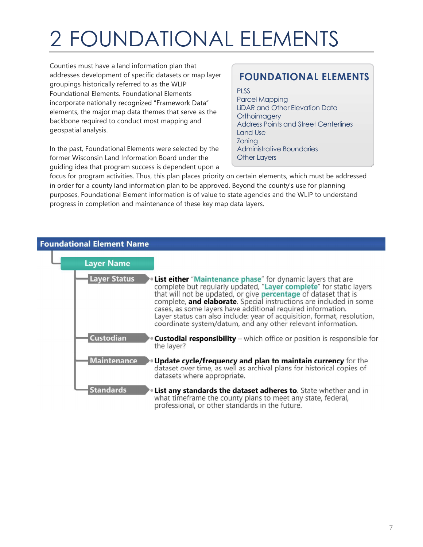# 2 FOUNDATIONAL ELEMENTS

Counties must have a land information plan that addresses development of specific datasets or map layer groupings historically referred to as the WLIP Foundational Elements. Foundational Elements incorporate nationally recognized "Framework Data" elements, the major map data themes that serve as the backbone required to conduct most mapping and geospatial analysis.

In the past, Foundational Elements were selected by the former Wisconsin Land Information Board under the guiding idea that program success is dependent upon a

# FOUNDATIONAL ELEMENTS

PLSS

Parcel Mapping LiDAR and Other Elevation Data **Orthoimagery** Address Points and Street Centerlines Land Use Zoning Administrative Boundaries Other Layers

focus for program activities. Thus, this plan places priority on certain elements, which must be addressed in order for a county land information plan to be approved. Beyond the county's use for planning purposes, Foundational Element information is of value to state agencies and the WLIP to understand progress in completion and maintenance of these key map data layers.

| <b>Foundational Element Name</b> |                     |                                                                                                                                                                                                                                                                                                                                                                                                                                                                                             |
|----------------------------------|---------------------|---------------------------------------------------------------------------------------------------------------------------------------------------------------------------------------------------------------------------------------------------------------------------------------------------------------------------------------------------------------------------------------------------------------------------------------------------------------------------------------------|
|                                  | <b>Layer Name</b>   |                                                                                                                                                                                                                                                                                                                                                                                                                                                                                             |
|                                  | <b>Layer Status</b> | <b>List either "Maintenance phase"</b> for dynamic layers that are<br>complete but regularly updated, "Layer complete" for static layers<br>that will not be updated, or give percentage of dataset that is<br>complete, and elaborate. Special instructions are included in some<br>cases, as some layers have additional required information.<br>Layer status can also include: year of acquisition, format, resolution,<br>coordinate system/datum, and any other relevant information. |
|                                  | <b>Custodian</b>    | <b>Custodial responsibility</b> – which office or position is responsible for<br>the layer?                                                                                                                                                                                                                                                                                                                                                                                                 |
|                                  | <b>Maintenance</b>  | Update cycle/frequency and plan to maintain currency for the<br>dataset over time, as well as archival plans for historical copies of<br>datasets where appropriate.                                                                                                                                                                                                                                                                                                                        |
|                                  | <b>Standards</b>    | . List any standards the dataset adheres to. State whether and in<br>what timeframe the county plans to meet any state, federal,<br>professional, or other standards in the future.                                                                                                                                                                                                                                                                                                         |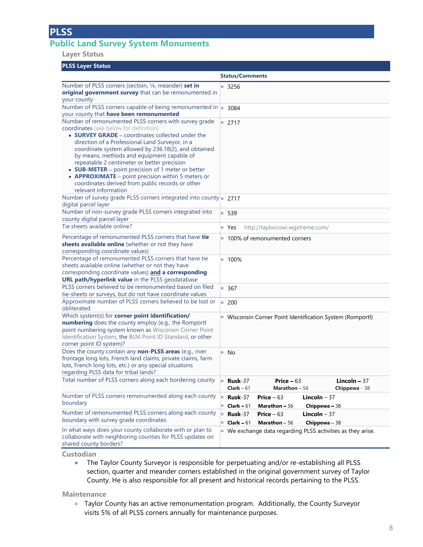# Public Land Survey System Monuments

#### Layer Status

#### PLSS Layer Status

| Loo Luyer olulus                                                                                                                                                                                                                                                                                                                                                                                                                                                                                  |                                                                                                                                 |
|---------------------------------------------------------------------------------------------------------------------------------------------------------------------------------------------------------------------------------------------------------------------------------------------------------------------------------------------------------------------------------------------------------------------------------------------------------------------------------------------------|---------------------------------------------------------------------------------------------------------------------------------|
|                                                                                                                                                                                                                                                                                                                                                                                                                                                                                                   | <b>Status/Comments</b>                                                                                                          |
| Number of PLSS corners (section, 1/4, meander) set in<br>original government survey that can be remonumented in<br>your county                                                                                                                                                                                                                                                                                                                                                                    | 3256<br>$\bullet$                                                                                                               |
| Number of PLSS corners capable of being remonumented in $\left  \cdot \right $                                                                                                                                                                                                                                                                                                                                                                                                                    | 3084                                                                                                                            |
| your county that have been remonumented                                                                                                                                                                                                                                                                                                                                                                                                                                                           |                                                                                                                                 |
| Number of remonumented PLSS corners with survey grade                                                                                                                                                                                                                                                                                                                                                                                                                                             | • 2717                                                                                                                          |
| coordinates (see below for definition)<br>• <b>SURVEY GRADE</b> – coordinates collected under the<br>direction of a Professional Land Surveyor, in a<br>coordinate system allowed by 236.18(2), and obtained<br>by means, methods and equipment capable of<br>repeatable 2 centimeter or better precision<br>• SUB-METER - point precision of 1 meter or better<br>• APPROXIMATE - point precision within 5 meters or<br>coordinates derived from public records or other<br>relevant information |                                                                                                                                 |
| Number of survey grade PLSS corners integrated into county 2717<br>digital parcel layer                                                                                                                                                                                                                                                                                                                                                                                                           |                                                                                                                                 |
| Number of non-survey grade PLSS corners integrated into<br>county digital parcel layer                                                                                                                                                                                                                                                                                                                                                                                                            | 539                                                                                                                             |
| Tie sheets available online?                                                                                                                                                                                                                                                                                                                                                                                                                                                                      | $\bullet$ Yes<br>http://taylorcowi.wgxtreme.com/                                                                                |
| Percentage of remonumented PLSS corners that have tie<br>sheets available online (whether or not they have<br>corresponding coordinate values)                                                                                                                                                                                                                                                                                                                                                    | 100% of remonumented corners<br>$\qquad \qquad \bullet$                                                                         |
| Percentage of remonumented PLSS corners that have tie<br>sheets available online (whether or not they have<br>corresponding coordinate values) and a corresponding<br>URL path/hyperlink value in the PLSS geodatabase                                                                                                                                                                                                                                                                            | $• 100\%$                                                                                                                       |
| PLSS corners believed to be remonumented based on filed<br>tie-sheets or surveys, but do not have coordinate values                                                                                                                                                                                                                                                                                                                                                                               | • 367                                                                                                                           |
| Approximate number of PLSS corners believed to be lost or<br>obliterated                                                                                                                                                                                                                                                                                                                                                                                                                          | $\bullet$<br>200                                                                                                                |
| Which system(s) for corner point identification/<br>numbering does the county employ (e.g., the Romportl<br>point numbering system known as Wisconsin Corner Point<br>Identification System, the BLM Point ID Standard, or other<br>corner point ID system)?                                                                                                                                                                                                                                      | · Wisconsin Corner Point Identification System (Romportl)                                                                       |
| Does the county contain any non-PLSS areas (e.g., river<br>frontage long lots, French land claims, private claims, farm<br>lots, French long lots, etc.) or any special situations<br>regarding PLSS data for tribal lands?                                                                                                                                                                                                                                                                       | $\bullet$<br>No                                                                                                                 |
| Total number of PLSS corners along each bordering county                                                                                                                                                                                                                                                                                                                                                                                                                                          | Lincoln $-37$<br>Price $-63$<br>$Rusk-37$<br>$\bullet$<br>Clark - $61$<br>Marathon $-56$<br>Chippewa - 38                       |
| Number of PLSS corners remonumented along each county<br>boundary                                                                                                                                                                                                                                                                                                                                                                                                                                 | Rusk-37<br>Lincoln $-37$<br>Price $-63$<br>Clark $-61$<br><b>Marathon - 56</b><br>Chippewa - 38                                 |
| Number of remonumented PLSS corners along each county<br>boundary with survey grade coordinates                                                                                                                                                                                                                                                                                                                                                                                                   | Price $-63$<br><b>Lincoln</b> $-37$<br><b>Rusk-37</b><br>۰<br>Chippewa - 38<br>$\bullet$<br>Clark $-61$<br><b>Marathon</b> - 56 |
| In what ways does your county collaborate with or plan to<br>collaborate with neighboring counties for PLSS updates on<br>shared county borders?                                                                                                                                                                                                                                                                                                                                                  | We exchange data regarding PLSS activities as they arise.<br>$\hfill \textcircled{\ensuremath{\mathbb{R}}}$                     |

Custodian

The Taylor County Surveyor is responsible for perpetuating and/or re-establishing all PLSS  $\bullet$  . section, quarter and meander corners established in the original government survey of Taylor County. He is also responsible for all present and historical records pertaining to the PLSS.

#### **Maintenance**

Taylor County has an active remonumentation program. Additionally, the County Surveyor visits 5% of all PLSS corners annually for maintenance purposes.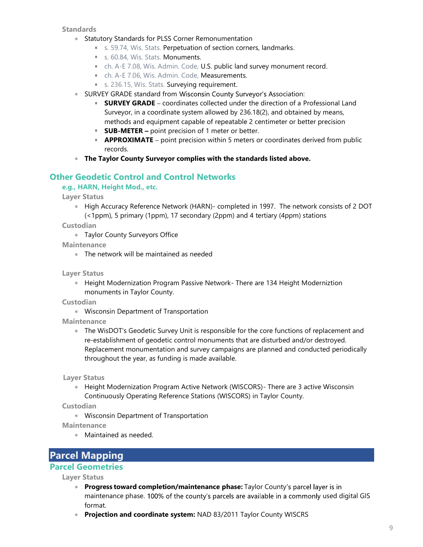**Standards** 

- Statutory Standards for PLSS Corner Remonumentation
	- s. 59.74, Wis. Stats. Perpetuation of section corners, landmarks.
	- s. 60.84, Wis. Stats. Monuments.
	- ch. A-E 7.08, Wis. Admin. Code, U.S. public land survey monument record.
	- ch. A-E 7.06, Wis. Admin. Code, Measurements.
	- s. 236.15, Wis. Stats. Surveying requirement.
- SURVEY GRADE standard from Wisconsin County Surveyor's Association:
	- **SURVEY GRADE** coordinates collected under the direction of a Professional Land Surveyor, in a coordinate system allowed by 236.18(2), and obtained by means, methods and equipment capable of repeatable 2 centimeter or better precision
	- $\blacksquare$  **SUB-METER** point precision of 1 meter or better.
	- **APPROXIMATE** point precision within 5 meters or coordinates derived from public records.
- The Taylor County Surveyor complies with the standards listed above.

#### Other Geodetic Control and Control Networks

#### e.g., HARN, Height Mod., etc.

Layer Status

• High Accuracy Reference Network (HARN)- completed in 1997. The network consists of 2 DOT (<1ppm), 5 primary (1ppm), 17 secondary (2ppm) and 4 tertiary (4ppm) stations

**Custodian** 

**Taylor County Surveyors Office** 

**Maintenance** 

The network will be maintained as needed

Layer Status

**• Height Modernization Program Passive Network- There are 134 Height Moderniztion** monuments in Taylor County.

**Custodian** 

Wisconsin Department of Transportation

**Maintenance** 

The WisDOT's Geodetic Survey Unit is responsible for the core functions of replacement and re-establishment of geodetic control monuments that are disturbed and/or destroyed. Replacement monumentation and survey campaigns are planned and conducted periodically throughout the year, as funding is made available.

Layer Status

Height Modernization Program Active Network (WISCORS)- There are 3 active Wisconsin Continuously Operating Reference Stations (WISCORS) in Taylor County.

**Custodian** 

Wisconsin Department of Transportation

**Maintenance** 

Maintained as needed.

Parcel Mapping

## Parcel Geometries

Layer Status

- **Progress toward completion/maintenance phase:** Taylor County's parcel layer is in maintenance phase. 100% of the county's parcels are available in a commonly used digital GIS format.
- Projection and coordinate system: NAD 83/2011 Taylor County WISCRS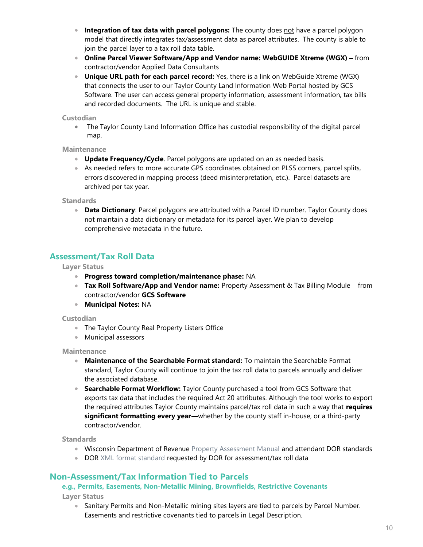- Integration of tax data with parcel polygons: The county does not have a parcel polygon model that directly integrates tax/assessment data as parcel attributes. The county is able to join the parcel layer to a tax roll data table.
- Online Parcel Viewer Software/App and Vendor name: WebGUIDE Xtreme (WGX) from contractor/vendor Applied Data Consultants
- Unique URL path for each parcel record: Yes, there is a link on WebGuide Xtreme (WGX) that connects the user to our Taylor County Land Information Web Portal hosted by GCS Software. The user can access general property information, assessment information, tax bills and recorded documents. The URL is unique and stable.

#### **Custodian**

The Taylor County Land Information Office has custodial responsibility of the digital parcel map.

#### **Maintenance**

- Update Frequency/Cycle. Parcel polygons are updated on an as needed basis.
- As needed refers to more accurate GPS coordinates obtained on PLSS corners, parcel splits, errors discovered in mapping process (deed misinterpretation, etc.). Parcel datasets are archived per tax year.

#### **Standards**

• Data Dictionary: Parcel polygons are attributed with a Parcel ID number. Taylor County does not maintain a data dictionary or metadata for its parcel layer. We plan to develop comprehensive metadata in the future.

## Assessment/Tax Roll Data

#### Layer Status

- **Progress toward completion/maintenance phase: NA**
- **Tax Roll Software/App and Vendor name:** Property Assessment  $\&$  Tax Billing Module from contractor/vendor GCS Software
- **Municipal Notes: NA**

#### **Custodian**

- The Taylor County Real Property Listers Office
- Municipal assessors

#### **Maintenance**

- Maintenance of the Searchable Format standard: To maintain the Searchable Format standard, Taylor County will continue to join the tax roll data to parcels annually and deliver the associated database.
- **Searchable Format Workflow:** Taylor County purchased a tool from GCS Software that exports tax data that includes the required Act 20 attributes. Although the tool works to export the required attributes Taylor County maintains parcel/tax roll data in such a way that requires significant formatting every year—whether by the county staff in-house, or a third-party contractor/vendor.

#### **Standards**

- Wisconsin Department of Revenue Property Assessment Manual and attendant DOR standards
- DOR XML format standard requested by DOR for assessment/tax roll data

## Non-Assessment/Tax Information Tied to Parcels

#### e.g., Permits, Easements, Non-Metallic Mining, Brownfields, Restrictive Covenants

Layer Status

• Sanitary Permits and Non-Metallic mining sites layers are tied to parcels by Parcel Number. Easements and restrictive covenants tied to parcels in Legal Description.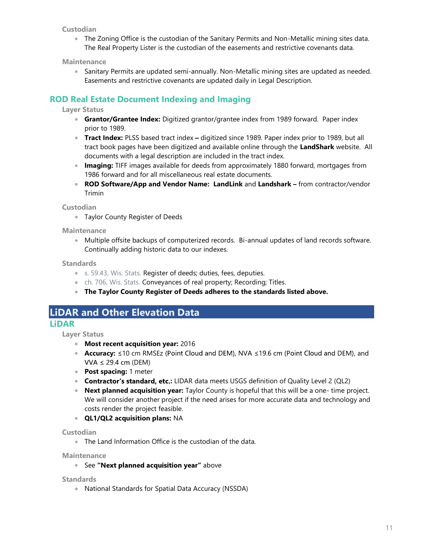#### **Custodian**

The Zoning Office is the custodian of the Sanitary Permits and Non-Metallic mining sites data. The Real Property Lister is the custodian of the easements and restrictive covenants data.

**Maintenance** 

**Sanitary Permits are updated semi-annually. Non-Metallic mining sites are updated as needed.** Easements and restrictive covenants are updated daily in Legal Description.

## ROD Real Estate Document Indexing and Imaging

#### Layer Status

- **Grantor/Grantee Index:** Digitized grantor/grantee index from 1989 forward. Paper index prior to 1989.
- Tract Index: PLSS based tract index digitized since 1989. Paper index prior to 1989, but all tract book pages have been digitized and available online through the LandShark website. All documents with a legal description are included in the tract index.
- **Imaging:** TIFF images available for deeds from approximately 1880 forward, mortgages from 1986 forward and for all miscellaneous real estate documents.
- ROD Software/App and Vendor Name: LandLink and Landshark from contractor/vendor Trimin

**Custodian** 

**Taylor County Register of Deeds** 

**Maintenance** 

Multiple offsite backups of computerized records. Bi-annual updates of land records software. Continually adding historic data to our indexes.

**Standards** 

- s. 59.43, Wis. Stats. Register of deeds; duties, fees, deputies.
- ch. 706, Wis. Stats. Conveyances of real property; Recording; Titles.
- The Taylor County Register of Deeds adheres to the standards listed above.
- LiDAR and Other Elevation Data

## LiDAR

Layer Status

- **Most recent acquisition year: 2016**
- Accuracy: ≤10 cm RMSEz (Point Cloud and DEM), NVA ≤19.6 cm (Point Cloud and DEM), and  $VVA \le 29.4$  cm (DEM)
- Post spacing: 1 meter
- Contractor's standard, etc.: LIDAR data meets USGS definition of Quality Level 2 (QL2)
- Next planned acquisition year: Taylor County is hopeful that this will be a one- time project. We will consider another project if the need arises for more accurate data and technology and costs render the project feasible.
- QL1/QL2 acquisition plans: NA

Custodian

The Land Information Office is the custodian of the data.

**Maintenance** 

• See "Next planned acquisition year" above

**Standards** 

National Standards for Spatial Data Accuracy (NSSDA)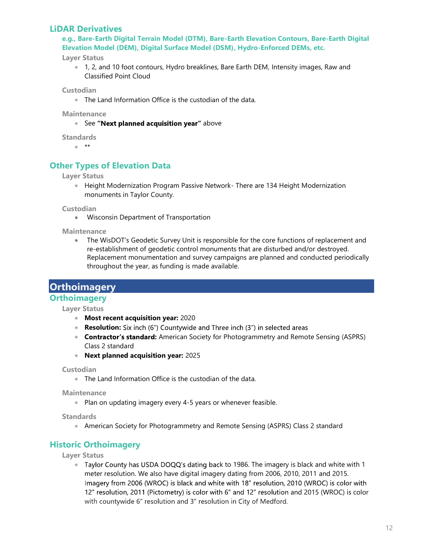### LiDAR Derivatives

e.g., Bare-Earth Digital Terrain Model (DTM), Bare-Earth Elevation Contours, Bare-Earth Digital Elevation Model (DEM), Digital Surface Model (DSM), Hydro-Enforced DEMs, etc.

Layer Status

1, 2, and 10 foot contours, Hydro breaklines, Bare Earth DEM, Intensity images, Raw and Classified Point Cloud

**Custodian** 

The Land Information Office is the custodian of the data.

**Maintenance** 

• See "Next planned acquisition year" above

**Standards** 

 $**$ 

## Other Types of Elevation Data

Layer Status

**Height Modernization Program Passive Network- There are 134 Height Modernization** monuments in Taylor County.

**Custodian** 

Wisconsin Department of Transportation

**Maintenance** 

The WisDOT's Geodetic Survey Unit is responsible for the core functions of replacement and re-establishment of geodetic control monuments that are disturbed and/or destroyed. Replacement monumentation and survey campaigns are planned and conducted periodically throughout the year, as funding is made available.

**Orthoimagery** 

#### **Orthoimagery**

Layer Status

- Most recent acquisition year: 2020
- Resolution: Six inch (6") Countywide and Three inch (3") in selected areas
- Contractor's standard: American Society for Photogrammetry and Remote Sensing (ASPRS) Class 2 standard
- Next planned acquisition year: 2025

Custodian

The Land Information Office is the custodian of the data.

**Maintenance** 

• Plan on updating imagery every 4-5 years or whenever feasible.

**Standards** 

American Society for Photogrammetry and Remote Sensing (ASPRS) Class 2 standard

## Historic Orthoimagery

Layer Status

Taylor County has USDA DOQQ's dating back to 1986. The imagery is black and white with 1 meter resolution. We also have digital imagery dating from 2006, 2010, 2011 and 2015. Imagery from 2006 (WROC) is black and white with 18" resolution, 2010 (WROC) is color with 12" resolution, 2011 (Pictometry) is color with 6" and 12" resolution and 2015 (WROC) is color with countywide 6" resolution and 3" resolution in City of Medford.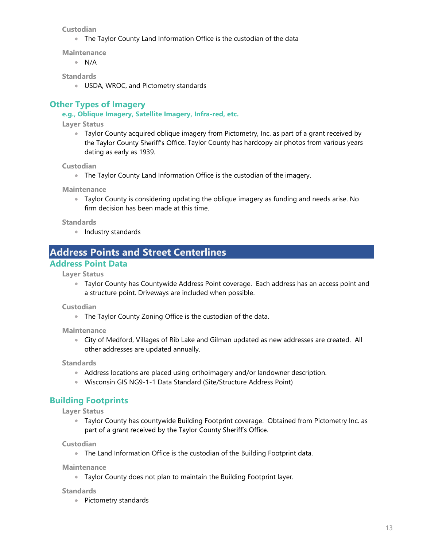**Custodian** 

The Taylor County Land Information Office is the custodian of the data

**Maintenance** 

 $\bullet$  N/A

**Standards** 

USDA, WROC, and Pictometry standards

## Other Types of Imagery

#### e.g., Oblique Imagery, Satellite Imagery, Infra-red, etc.

Layer Status

Taylor County acquired oblique imagery from Pictometry, Inc. as part of a grant received by the Taylor County Sheriff's Office. Taylor County has hardcopy air photos from various years dating as early as 1939.

Custodian

• The Taylor County Land Information Office is the custodian of the imagery.

**Maintenance** 

Taylor County is considering updating the oblique imagery as funding and needs arise. No firm decision has been made at this time.

#### **Standards**

• Industry standards

## Address Points and Street Centerlines

## Address Point Data

Layer Status

Taylor County has Countywide Address Point coverage. Each address has an access point and a structure point. Driveways are included when possible.

Custodian

• The Taylor County Zoning Office is the custodian of the data.

**Maintenance** 

City of Medford, Villages of Rib Lake and Gilman updated as new addresses are created. All other addresses are updated annually.

**Standards** 

- Address locations are placed using orthoimagery and/or landowner description.
- Wisconsin GIS NG9-1-1 Data Standard (Site/Structure Address Point)

## Building Footprints

Layer Status

Taylor County has countywide Building Footprint coverage. Obtained from Pictometry Inc. as part of a grant received by the Taylor County Sheriff's Office.

**Custodian** 

The Land Information Office is the custodian of the Building Footprint data.

**Maintenance** 

Taylor County does not plan to maintain the Building Footprint layer.

**Standards** 

• Pictometry standards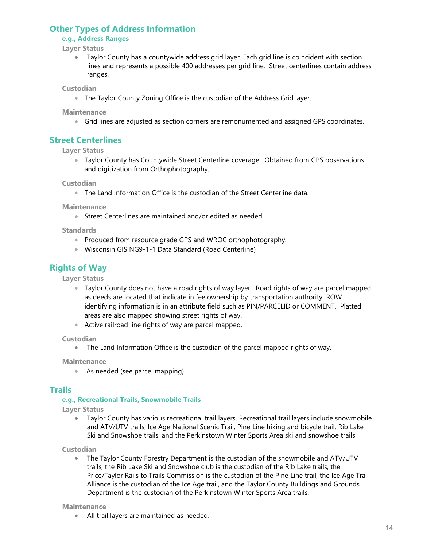## Other Types of Address Information

#### e.g., Address Ranges

Layer Status

Taylor County has a countywide address grid layer. Each grid line is coincident with section lines and represents a possible 400 addresses per grid line. Street centerlines contain address ranges.

**Custodian** 

The Taylor County Zoning Office is the custodian of the Address Grid layer.

**Maintenance** 

Grid lines are adjusted as section corners are remonumented and assigned GPS coordinates.

## Street Centerlines

Layer Status

Taylor County has Countywide Street Centerline coverage. Obtained from GPS observations and digitization from Orthophotography.

**Custodian** 

The Land Information Office is the custodian of the Street Centerline data.

**Maintenance** 

Street Centerlines are maintained and/or edited as needed.

**Standards** 

- Produced from resource grade GPS and WROC orthophotography.
- Wisconsin GIS NG9-1-1 Data Standard (Road Centerline)

## Rights of Way

Layer Status

- Taylor County does not have a road rights of way layer. Road rights of way are parcel mapped as deeds are located that indicate in fee ownership by transportation authority. ROW identifying information is in an attribute field such as PIN/PARCELID or COMMENT. Platted areas are also mapped showing street rights of way.
- Active railroad line rights of way are parcel mapped.

Custodian

The Land Information Office is the custodian of the parcel mapped rights of way.

**Maintenance** 

As needed (see parcel mapping)

#### **Trails**

#### e.g., Recreational Trails, Snowmobile Trails

Layer Status

Taylor County has various recreational trail layers. Recreational trail layers include snowmobile  $\bullet$ and ATV/UTV trails, Ice Age National Scenic Trail, Pine Line hiking and bicycle trail, Rib Lake Ski and Snowshoe trails, and the Perkinstown Winter Sports Area ski and snowshoe trails.

**Custodian** 

The Taylor County Forestry Department is the custodian of the snowmobile and ATV/UTV  $\bullet$ trails, the Rib Lake Ski and Snowshoe club is the custodian of the Rib Lake trails, the Price/Taylor Rails to Trails Commission is the custodian of the Pine Line trail, the Ice Age Trail Alliance is the custodian of the Ice Age trail, and the Taylor County Buildings and Grounds Department is the custodian of the Perkinstown Winter Sports Area trails.

#### **Maintenance**

All trail layers are maintained as needed.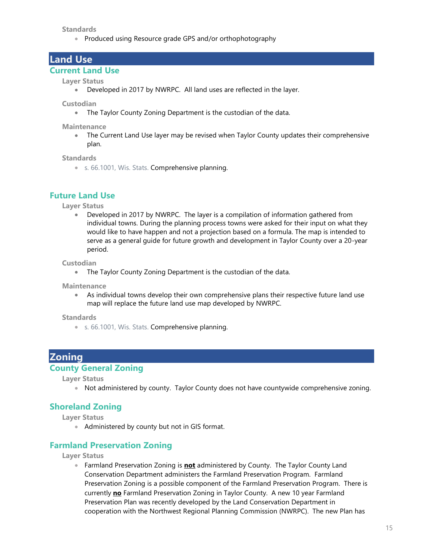**Standards** 

• Produced using Resource grade GPS and/or orthophotography

## Land Use

#### Current Land Use

#### Layer Status

Developed in 2017 by NWRPC. All land uses are reflected in the layer.

**Custodian** 

The Taylor County Zoning Department is the custodian of the data.

**Maintenance** 

• The Current Land Use layer may be revised when Taylor County updates their comprehensive plan.

**Standards** 

s. 66.1001, Wis. Stats. Comprehensive planning.

#### Future Land Use

Layer Status

Developed in 2017 by NWRPC. The layer is a compilation of information gathered from  $\bullet$ individual towns. During the planning process towns were asked for their input on what they would like to have happen and not a projection based on a formula. The map is intended to serve as a general guide for future growth and development in Taylor County over a 20-year period.

**Custodian** 

The Taylor County Zoning Department is the custodian of the data.

**Maintenance** 

As individual towns develop their own comprehensive plans their respective future land use map will replace the future land use map developed by NWRPC.

#### **Standards**

s. 66.1001, Wis. Stats. Comprehensive planning.

## **Zoning**

#### County General Zoning

Layer Status

• Not administered by county. Taylor County does not have countywide comprehensive zoning.

#### Shoreland Zoning

Layer Status

• Administered by county but not in GIS format.

#### Farmland Preservation Zoning

#### Layer Status

**Farmland Preservation Zoning is not administered by County. The Taylor County Land** Conservation Department administers the Farmland Preservation Program. Farmland Preservation Zoning is a possible component of the Farmland Preservation Program. There is currently no Farmland Preservation Zoning in Taylor County. A new 10 year Farmland Preservation Plan was recently developed by the Land Conservation Department in cooperation with the Northwest Regional Planning Commission (NWRPC). The new Plan has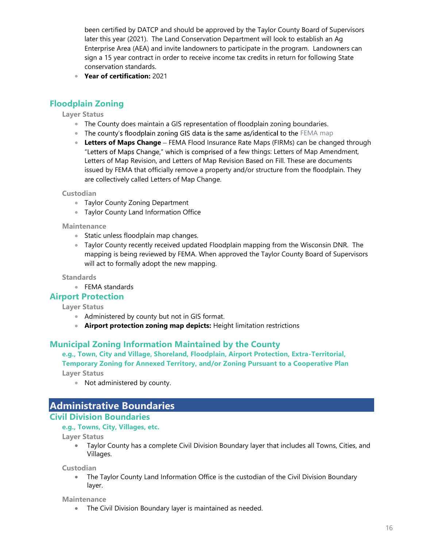been certified by DATCP and should be approved by the Taylor County Board of Supervisors later this year (2021). The Land Conservation Department will look to establish an Ag Enterprise Area (AEA) and invite landowners to participate in the program. Landowners can sign a 15 year contract in order to receive income tax credits in return for following State conservation standards.

Year of certification: 2021

## Floodplain Zoning

Layer Status

- The County does maintain a GIS representation of floodplain zoning boundaries.
- The county's floodplain zoning GIS data is the same as/identical to the FEMA map
- **Letters of Maps Change** FEMA Flood Insurance Rate Maps (FIRMs) can be changed through "Letters of Maps Change," which is comprised of a few things: Letters of Map Amendment, Letters of Map Revision, and Letters of Map Revision Based on Fill. These are documents issued by FEMA that officially remove a property and/or structure from the floodplain. They are collectively called Letters of Map Change.

Custodian

- Taylor County Zoning Department
- **Taylor County Land Information Office**

**Maintenance** 

- **Static unless floodplain map changes.**
- Taylor County recently received updated Floodplain mapping from the Wisconsin DNR. The mapping is being reviewed by FEMA. When approved the Taylor County Board of Supervisors will act to formally adopt the new mapping.

**Standards** 

● FEMA standards

#### Airport Protection

Layer Status

- Administered by county but not in GIS format.
- **Airport protection zoning map depicts:** Height limitation restrictions

#### Municipal Zoning Information Maintained by the County

e.g., Town, City and Village, Shoreland, Floodplain, Airport Protection, Extra-Territorial, Temporary Zoning for Annexed Territory, and/or Zoning Pursuant to a Cooperative Plan

Layer Status

Not administered by county.

# Administrative Boundaries

## Civil Division Boundaries

#### e.g., Towns, City, Villages, etc.

Layer Status

Taylor County has a complete Civil Division Boundary layer that includes all Towns, Cities, and Villages.

**Custodian** 

• The Taylor County Land Information Office is the custodian of the Civil Division Boundary layer.

**Maintenance** 

**The Civil Division Boundary layer is maintained as needed.**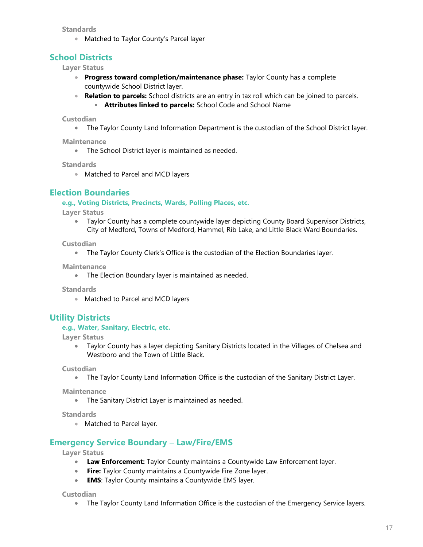**Standards** 

• Matched to Taylor County's Parcel layer

## School Districts

Layer Status

- **Progress toward completion/maintenance phase:** Taylor County has a complete countywide School District layer.
- Relation to parcels: School districts are an entry in tax roll which can be joined to parcels.
	- **Attributes linked to parcels:** School Code and School Name

Custodian

The Taylor County Land Information Department is the custodian of the School District layer.

**Maintenance** 

• The School District layer is maintained as needed.

**Standards** 

• Matched to Parcel and MCD layers

## Election Boundaries

e.g., Voting Districts, Precincts, Wards, Polling Places, etc.

Layer Status

Taylor County has a complete countywide layer depicting County Board Supervisor Districts,  $\bullet$ City of Medford, Towns of Medford, Hammel, Rib Lake, and Little Black Ward Boundaries.

**Custodian** 

• The Taylor County Clerk's Office is the custodian of the Election Boundaries layer.

**Maintenance** 

• The Election Boundary layer is maintained as needed.

**Standards** 

**Matched to Parcel and MCD layers** 

## Utility Districts

#### e.g., Water, Sanitary, Electric, etc.

Layer Status

 $\bullet$ Taylor County has a layer depicting Sanitary Districts located in the Villages of Chelsea and Westboro and the Town of Little Black.

Custodian

The Taylor County Land Information Office is the custodian of the Sanitary District Layer.

**Maintenance** 

The Sanitary District Layer is maintained as needed.

**Standards** 

• Matched to Parcel layer.

## **Emergency Service Boundary - Law/Fire/EMS**

Layer Status

- **Law Enforcement:** Taylor County maintains a Countywide Law Enforcement layer.
- **Fire:** Taylor County maintains a Countywide Fire Zone layer.
- **EMS:** Taylor County maintains a Countywide EMS layer.

Custodian

• The Taylor County Land Information Office is the custodian of the Emergency Service layers.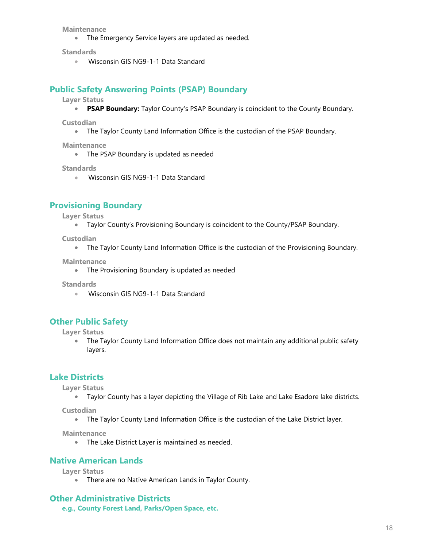**Maintenance** 

The Emergency Service layers are updated as needed.

**Standards** 

**Wisconsin GIS NG9-1-1 Data Standard** 

#### Public Safety Answering Points (PSAP) Boundary

Layer Status

• PSAP Boundary: Taylor County's PSAP Boundary is coincident to the County Boundary.

**Custodian** 

The Taylor County Land Information Office is the custodian of the PSAP Boundary.

**Maintenance** 

• The PSAP Boundary is updated as needed

**Standards** 

**Wisconsin GIS NG9-1-1 Data Standard** 

#### Provisioning Boundary

- Layer Status
	- Taylor County's Provisioning Boundary is coincident to the County/PSAP Boundary.

Custodian

• The Taylor County Land Information Office is the custodian of the Provisioning Boundary.

**Maintenance** 

• The Provisioning Boundary is updated as needed

**Standards** 

Wisconsin GIS NG9-1-1 Data Standard

## Other Public Safety

Layer Status

The Taylor County Land Information Office does not maintain any additional public safety layers.

## Lake Districts

Layer Status

Taylor County has a layer depicting the Village of Rib Lake and Lake Esadore lake districts.

Custodian

The Taylor County Land Information Office is the custodian of the Lake District layer.

**Maintenance** 

• The Lake District Layer is maintained as needed.

#### Native American Lands

Layer Status

**• There are no Native American Lands in Taylor County.** 

#### Other Administrative Districts

e.g., County Forest Land, Parks/Open Space, etc.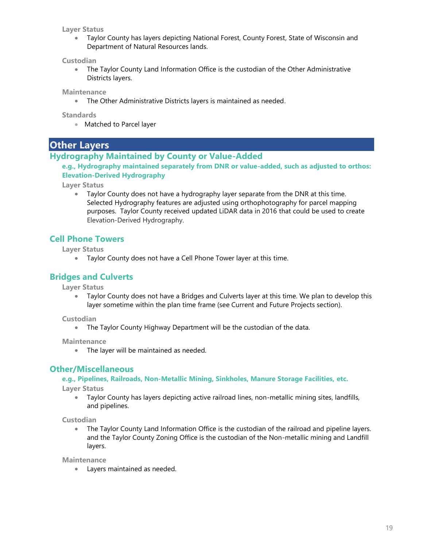#### Layer Status

Taylor County has layers depicting National Forest, County Forest, State of Wisconsin and Department of Natural Resources lands.

#### Custodian

 $\bullet$ The Taylor County Land Information Office is the custodian of the Other Administrative Districts layers.

**Maintenance** 

The Other Administrative Districts layers is maintained as needed.

**Standards** 

Matched to Parcel layer

## Other Layers

#### Hydrography Maintained by County or Value-Added

e.g., Hydrography maintained separately from DNR or value-added, such as adjusted to orthos: Elevation-Derived Hydrography

Layer Status

Taylor County does not have a hydrography layer separate from the DNR at this time. Selected Hydrography features are adjusted using orthophotography for parcel mapping purposes. Taylor County received updated LiDAR data in 2016 that could be used to create Elevation-Derived Hydrography.

## Cell Phone Towers

Layer Status

Taylor County does not have a Cell Phone Tower layer at this time.

## Bridges and Culverts

Layer Status

Taylor County does not have a Bridges and Culverts layer at this time. We plan to develop this layer sometime within the plan time frame (see Current and Future Projects section).

**Custodian** 

The Taylor County Highway Department will be the custodian of the data.

**Maintenance** 

• The layer will be maintained as needed.

## Other/Miscellaneous

#### e.g., Pipelines, Railroads, Non-Metallic Mining, Sinkholes, Manure Storage Facilities, etc.

Layer Status

Taylor County has layers depicting active railroad lines, non-metallic mining sites, landfills, and pipelines.

**Custodian** 

The Taylor County Land Information Office is the custodian of the railroad and pipeline layers. and the Taylor County Zoning Office is the custodian of the Non-metallic mining and Landfill layers.

**Maintenance** 

Layers maintained as needed.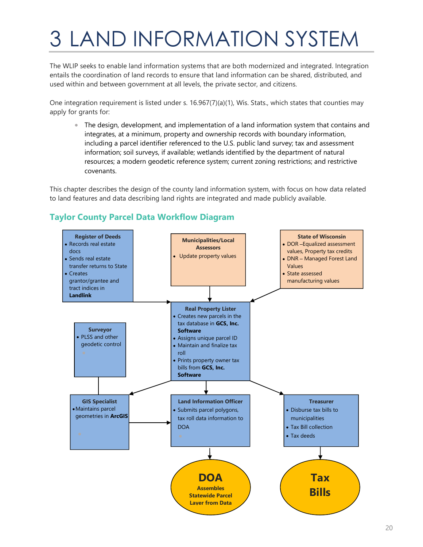# 3 LAND INFORMATION SYSTEM

The WLIP seeks to enable land information systems that are both modernized and integrated. Integration entails the coordination of land records to ensure that land information can be shared, distributed, and used within and between government at all levels, the private sector, and citizens.

One integration requirement is listed under s. 16.967(7)(a)(1), Wis. Stats., which states that counties may apply for grants for:

The design, development, and implementation of a land information system that contains and integrates, at a minimum, property and ownership records with boundary information, including a parcel identifier referenced to the U.S. public land survey; tax and assessment information; soil surveys, if available; wetlands identified by the department of natural resources; a modern geodetic reference system; current zoning restrictions; and restrictive covenants.

This chapter describes the design of the county land information system, with focus on how data related to land features and data describing land rights are integrated and made publicly available.

## Taylor County Parcel Data Workflow Diagram

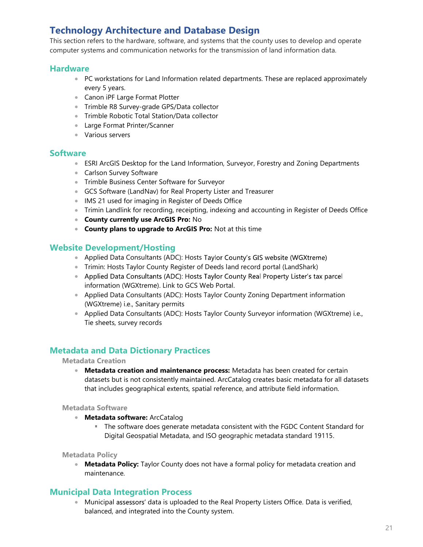# Technology Architecture and Database Design

This section refers to the hardware, software, and systems that the county uses to develop and operate computer systems and communication networks for the transmission of land information data.

#### **Hardware**

- PC workstations for Land Information related departments. These are replaced approximately every 5 years.
- Canon iPF Large Format Plotter
- **Trimble R8 Survey-grade GPS/Data collector**
- **Trimble Robotic Total Station/Data collector**
- Large Format Printer/Scanner
- Various servers

#### **Software**

- ESRI ArcGIS Desktop for the Land Information, Surveyor, Forestry and Zoning Departments
- **Carlson Survey Software**
- **Trimble Business Center Software for Surveyor**
- GCS Software (LandNav) for Real Property Lister and Treasurer
- IMS 21 used for imaging in Register of Deeds Office
- Trimin Landlink for recording, receipting, indexing and accounting in Register of Deeds Office
- **County currently use ArcGIS Pro: No**
- **County plans to upgrade to ArcGIS Pro:** Not at this time

## Website Development/Hosting

- Applied Data Consultants (ADC): Hosts Taylor County's GIS website (WGXtreme)
- Trimin: Hosts Taylor County Register of Deeds land record portal (LandShark)
- Applied Data Consultants (ADC): Hosts Taylor County Real Property Lister's tax parcel information (WGXtreme). Link to GCS Web Portal.
- Applied Data Consultants (ADC): Hosts Taylor County Zoning Department information (WGXtreme) i.e., Sanitary permits
- Applied Data Consultants (ADC): Hosts Taylor County Surveyor information (WGXtreme) i.e., Tie sheets, survey records

## Metadata and Data Dictionary Practices

#### Metadata Creation

• Metadata creation and maintenance process: Metadata has been created for certain datasets but is not consistently maintained. ArcCatalog creates basic metadata for all datasets that includes geographical extents, spatial reference, and attribute field information.

Metadata Software

- **Metadata software: ArcCatalog** 
	- The software does generate metadata consistent with the FGDC Content Standard for Digital Geospatial Metadata, and ISO geographic metadata standard 19115.

Metadata Policy

• Metadata Policy: Taylor County does not have a formal policy for metadata creation and maintenance.

## Municipal Data Integration Process

**Municipal assessors' data is uploaded to the Real Property Listers Office. Data is verified,** balanced, and integrated into the County system.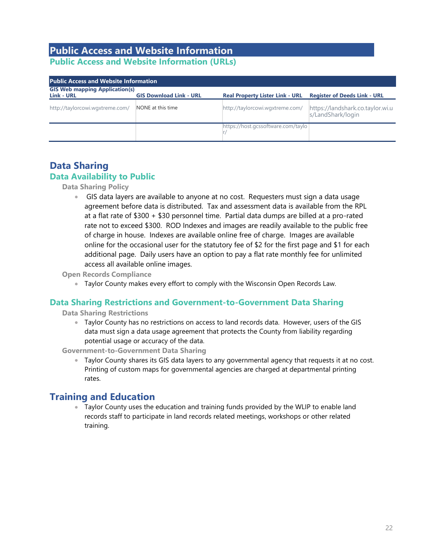## Public Access and Website Information Public Access and Website Information (URLs)

| <b>Public Access and Website Information</b>        |                                |                                        |                                                       |  |
|-----------------------------------------------------|--------------------------------|----------------------------------------|-------------------------------------------------------|--|
| <b>GIS Web mapping Application(s)</b><br>Link - URL | <b>GIS Download Link - URL</b> | <b>Real Property Lister Link - URL</b> | <b>Register of Deeds Link - URL</b>                   |  |
| http://taylorcowi.wgxtreme.com/                     | NONE at this time              | http://taylorcowi.wgxtreme.com/        | https://landshark.co.taylor.wi.u<br>s/LandShark/login |  |
|                                                     |                                | https://host.gcssoftware.com/taylo     |                                                       |  |

## Data Sharing Data Availability to Public

Data Sharing Policy

GIS data layers are available to anyone at no cost. Requesters must sign a data usage agreement before data is distributed. Tax and assessment data is available from the RPL at a flat rate of \$300 + \$30 personnel time. Partial data dumps are billed at a pro-rated rate not to exceed \$300. ROD Indexes and images are readily available to the public free of charge in house. Indexes are available online free of charge. Images are available online for the occasional user for the statutory fee of \$2 for the first page and \$1 for each additional page. Daily users have an option to pay a flat rate monthly fee for unlimited access all available online images.

Open Records Compliance

Taylor County makes every effort to comply with the Wisconsin Open Records Law.

## Data Sharing Restrictions and Government-to-Government Data Sharing

Data Sharing Restrictions

Taylor County has no restrictions on access to land records data. However, users of the GIS data must sign a data usage agreement that protects the County from liability regarding potential usage or accuracy of the data.

Government-to-Government Data Sharing

Taylor County shares its GIS data layers to any governmental agency that requests it at no cost. Printing of custom maps for governmental agencies are charged at departmental printing rates.

# Training and Education

Taylor County uses the education and training funds provided by the WLIP to enable land records staff to participate in land records related meetings, workshops or other related training.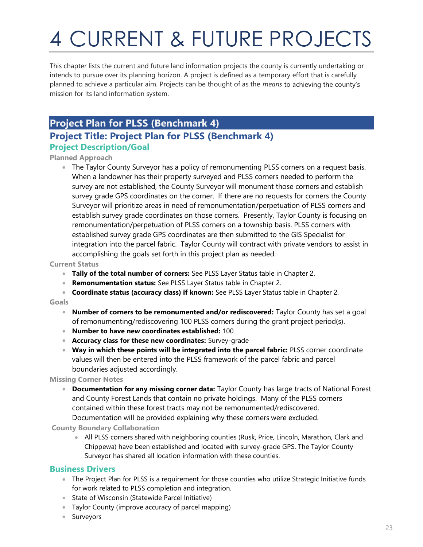# 4 CURRENT & FUTURE PROJECTS

This chapter lists the current and future land information projects the county is currently undertaking or intends to pursue over its planning horizon. A project is defined as a temporary effort that is carefully planned to achieve a particular aim. Projects can be thought of as the *means* to achieving the county's mission for its land information system.

# Project Plan for PLSS (Benchmark 4)

# Project Title: Project Plan for PLSS (Benchmark 4)

## Project Description/Goal

#### Planned Approach

The Taylor County Surveyor has a policy of remonumenting PLSS corners on a request basis. When a landowner has their property surveyed and PLSS corners needed to perform the survey are not established, the County Surveyor will monument those corners and establish survey grade GPS coordinates on the corner. If there are no requests for corners the County Surveyor will prioritize areas in need of remonumentation/perpetuation of PLSS corners and establish survey grade coordinates on those corners. Presently, Taylor County is focusing on remonumentation/perpetuation of PLSS corners on a township basis. PLSS corners with established survey grade GPS coordinates are then submitted to the GIS Specialist for integration into the parcel fabric. Taylor County will contract with private vendors to assist in accomplishing the goals set forth in this project plan as needed.

#### Current Status

- Tally of the total number of corners: See PLSS Layer Status table in Chapter 2.
- **Remonumentation status:** See PLSS Layer Status table in Chapter 2.
- Coordinate status (accuracy class) if known: See PLSS Layer Status table in Chapter 2.

#### Goals

- Number of corners to be remonumented and/or rediscovered: Taylor County has set a goal of remonumenting/rediscovering 100 PLSS corners during the grant project period(s).
- Number to have new coordinates established: 100
- **Accuracy class for these new coordinates:** Survey-grade
- Way in which these points will be integrated into the parcel fabric: PLSS corner coordinate values will then be entered into the PLSS framework of the parcel fabric and parcel boundaries adjusted accordingly.

#### Missing Corner Notes

• Documentation for any missing corner data: Taylor County has large tracts of National Forest and County Forest Lands that contain no private holdings. Many of the PLSS corners contained within these forest tracts may not be remonumented/rediscovered. Documentation will be provided explaining why these corners were excluded.

#### County Boundary Collaboration

All PLSS corners shared with neighboring counties (Rusk, Price, Lincoln, Marathon, Clark and Chippewa) have been established and located with survey-grade GPS. The Taylor County Surveyor has shared all location information with these counties.

## Business Drivers

- The Project Plan for PLSS is a requirement for those counties who utilize Strategic Initiative funds for work related to PLSS completion and integration.
- **State of Wisconsin (Statewide Parcel Initiative)**
- Taylor County (improve accuracy of parcel mapping)
- **Surveyors**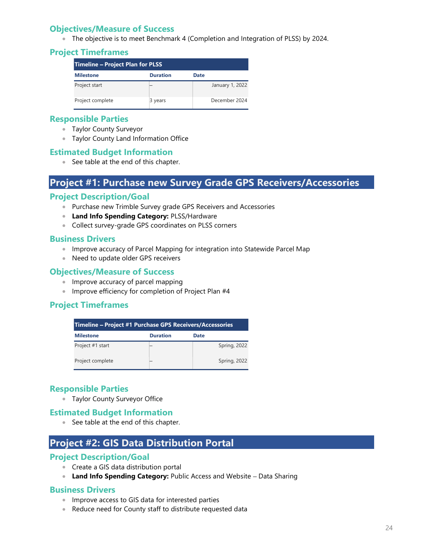## Objectives/Measure of Success

The objective is to meet Benchmark 4 (Completion and Integration of PLSS) by 2024.

## Project Timeframes

| Timeline – Project Plan for PLSS |                 |      |                 |
|----------------------------------|-----------------|------|-----------------|
| <b>Milestone</b>                 | <b>Duration</b> | Date |                 |
| Project start                    |                 |      | January 1, 2022 |
| Project complete                 | 3 years         |      | December 2024   |

## Responsible Parties

- Taylor County Surveyor
- Taylor County Land Information Office

## Estimated Budget Information

● See table at the end of this chapter.

# Project #1: Purchase new Survey Grade GPS Receivers/Accessories

## Project Description/Goal

- Purchase new Trimble Survey grade GPS Receivers and Accessories
- **Land Info Spending Category: PLSS/Hardware**
- Collect survey-grade GPS coordinates on PLSS corners

#### Business Drivers

- Improve accuracy of Parcel Mapping for integration into Statewide Parcel Map
- Need to update older GPS receivers

#### Objectives/Measure of Success

- Improve accuracy of parcel mapping
- **Improve efficiency for completion of Project Plan #4**

## Project Timeframes

| Timeline – Project #1 Purchase GPS Receivers/Accessories |  |                     |  |  |
|----------------------------------------------------------|--|---------------------|--|--|
| <b>Duration</b><br><b>Milestone</b><br>Date              |  |                     |  |  |
| Project #1 start                                         |  | <b>Spring, 2022</b> |  |  |
| Project complete                                         |  | Spring, 2022        |  |  |

## Responsible Parties

Taylor County Surveyor Office

## Estimated Budget Information

● See table at the end of this chapter.

# Project #2: GIS Data Distribution Portal

## Project Description/Goal

- Create a GIS data distribution portal
- Land Info Spending Category: Public Access and Website Data Sharing

## Business Drivers

- **Improve access to GIS data for interested parties**
- Reduce need for County staff to distribute requested data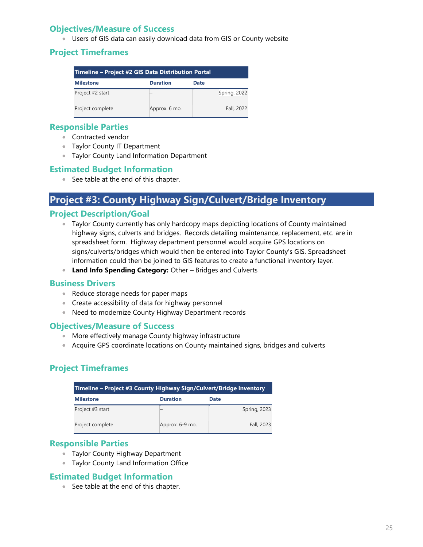## Objectives/Measure of Success

Users of GIS data can easily download data from GIS or County website

## Project Timeframes

| Timeline - Project #2 GIS Data Distribution Portal |                 |              |  |
|----------------------------------------------------|-----------------|--------------|--|
| <b>Milestone</b>                                   | <b>Duration</b> | Date         |  |
| Project #2 start                                   |                 | Spring, 2022 |  |
| Project complete                                   | Approx. 6 mo.   | Fall, 2022   |  |

## Responsible Parties

- **Contracted vendor**
- **Taylor County IT Department**
- **Taylor County Land Information Department**

## Estimated Budget Information

● See table at the end of this chapter.

# Project #3: County Highway Sign/Culvert/Bridge Inventory

## Project Description/Goal

- Taylor County currently has only hardcopy maps depicting locations of County maintained highway signs, culverts and bridges. Records detailing maintenance, replacement, etc. are in spreadsheet form. Highway department personnel would acquire GPS locations on signs/culverts/bridges which would then be entered into Taylor County's GIS. Spreadsheet information could then be joined to GIS features to create a functional inventory layer.
- Land Info Spending Category: Other Bridges and Culverts

## Business Drivers

- Reduce storage needs for paper maps
- Create accessibility of data for highway personnel
- Need to modernize County Highway Department records

## Objectives/Measure of Success

- More effectively manage County highway infrastructure
- Acquire GPS coordinate locations on County maintained signs, bridges and culverts

## Project Timeframes

| Timeline - Project #3 County Highway Sign/Culvert/Bridge Inventory |                 |              |  |
|--------------------------------------------------------------------|-----------------|--------------|--|
| <b>Milestone</b>                                                   | <b>Duration</b> | Date         |  |
| Project #3 start                                                   |                 | Spring, 2023 |  |
| Project complete                                                   | Approx. 6-9 mo. | Fall, 2023   |  |

## Responsible Parties

- **Taylor County Highway Department**
- **Taylor County Land Information Office**

## Estimated Budget Information

● See table at the end of this chapter.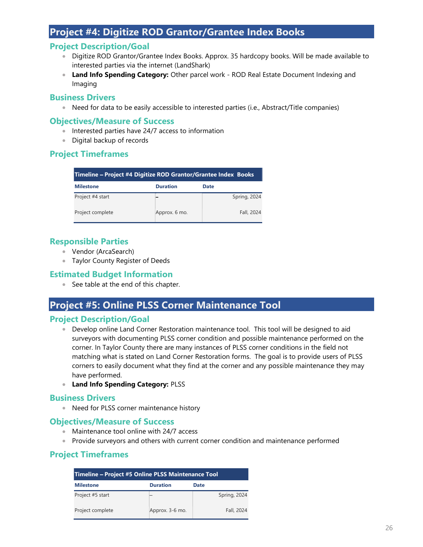# Project #4: Digitize ROD Grantor/Grantee Index Books

## Project Description/Goal

- Digitize ROD Grantor/Grantee Index Books. Approx. 35 hardcopy books. Will be made available to interested parties via the internet (LandShark)
- **Land Info Spending Category:** Other parcel work ROD Real Estate Document Indexing and Imaging

## Business Drivers

• Need for data to be easily accessible to interested parties (i.e., Abstract/Title companies)

## Objectives/Measure of Success

- Interested parties have 24/7 access to information
- Digital backup of records

## Project Timeframes

| Timeline – Project #4 Digitize ROD Grantor/Grantee Index Books |                 |              |  |
|----------------------------------------------------------------|-----------------|--------------|--|
| <b>Milestone</b>                                               | <b>Duration</b> | Date         |  |
| Project #4 start                                               |                 | Spring, 2024 |  |
| Project complete                                               | Approx. 6 mo.   | Fall, 2024   |  |

## Responsible Parties

- Vendor (ArcaSearch)
- **Taylor County Register of Deeds**

## Estimated Budget Information

● See table at the end of this chapter.

# Project #5: Online PLSS Corner Maintenance Tool

## Project Description/Goal

- **Develop online Land Corner Restoration maintenance tool. This tool will be designed to aid** surveyors with documenting PLSS corner condition and possible maintenance performed on the corner. In Taylor County there are many instances of PLSS corner conditions in the field not matching what is stated on Land Corner Restoration forms. The goal is to provide users of PLSS corners to easily document what they find at the corner and any possible maintenance they may have performed.
- **Land Info Spending Category: PLSS**

## Business Drivers

Need for PLSS corner maintenance history

## Objectives/Measure of Success

- Maintenance tool online with 24/7 access
- Provide surveyors and others with current corner condition and maintenance performed

## Project Timeframes

| Timeline – Project #5 Online PLSS Maintenance Tool |                 |              |  |  |
|----------------------------------------------------|-----------------|--------------|--|--|
| <b>Milestone</b>                                   | <b>Duration</b> | Date         |  |  |
| Project #5 start                                   |                 | Spring, 2024 |  |  |
| Project complete                                   | Approx. 3-6 mo. | Fall, 2024   |  |  |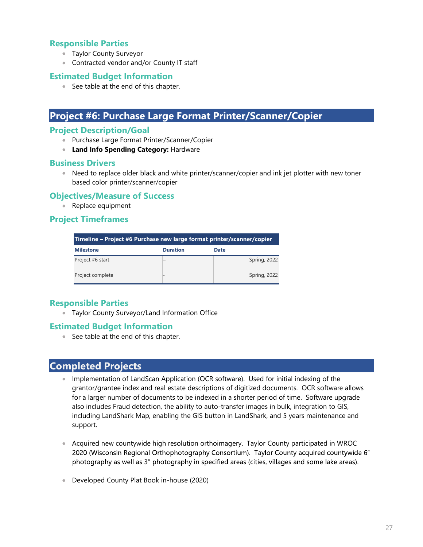## Responsible Parties

- **Taylor County Surveyor**
- Contracted vendor and/or County IT staff

#### Estimated Budget Information

● See table at the end of this chapter.

## Project #6: Purchase Large Format Printer/Scanner/Copier

#### Project Description/Goal

- Purchase Large Format Printer/Scanner/Copier
- **Land Info Spending Category: Hardware**

#### Business Drivers

Need to replace older black and white printer/scanner/copier and ink jet plotter with new toner based color printer/scanner/copier

#### Objectives/Measure of Success

• Replace equipment

#### Project Timeframes

| Timeline – Project #6 Purchase new large format printer/scanner/copier |                          |              |  |  |
|------------------------------------------------------------------------|--------------------------|--------------|--|--|
| <b>Milestone</b>                                                       | <b>Duration</b>          | <b>Date</b>  |  |  |
| Project #6 start                                                       |                          | Spring, 2022 |  |  |
| Project complete                                                       | $\overline{\phantom{0}}$ | Spring, 2022 |  |  |

## Responsible Parties

Taylor County Surveyor/Land Information Office

#### Estimated Budget Information

• See table at the end of this chapter.

## Completed Projects

- Implementation of LandScan Application (OCR software). Used for initial indexing of the grantor/grantee index and real estate descriptions of digitized documents. OCR software allows for a larger number of documents to be indexed in a shorter period of time. Software upgrade also includes Fraud detection, the ability to auto-transfer images in bulk, integration to GIS, including LandShark Map, enabling the GIS button in LandShark, and 5 years maintenance and support.
- Acquired new countywide high resolution orthoimagery. Taylor County participated in WROC 2020 (Wisconsin Regional Orthophotography Consortium). Taylor County acquired countywide 6" photography as well as 3" photography in specified areas (cities, villages and some lake areas).
- Developed County Plat Book in-house (2020)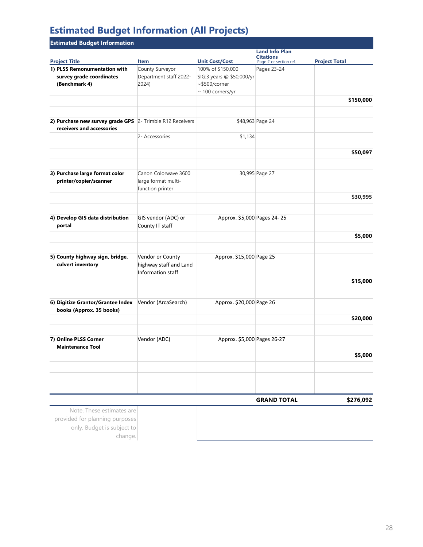# Estimated Budget Information (All Projects)

| <b>Estimated Budget Information</b>                           |                                                                 |                             |                                                                     |                      |  |
|---------------------------------------------------------------|-----------------------------------------------------------------|-----------------------------|---------------------------------------------------------------------|----------------------|--|
| <b>Project Title</b>                                          | <b>Item</b>                                                     | <b>Unit Cost/Cost</b>       | <b>Land Info Plan</b><br><b>Citations</b><br>Page # or section ref. | <b>Project Total</b> |  |
| 1) PLSS Remonumentation with                                  | County Surveyor                                                 | 100% of \$150,000           | Pages 23-24                                                         |                      |  |
| survey grade coordinates                                      | Department staff 2022-                                          | SIG:3 years @ \$50,000/yr   |                                                                     |                      |  |
| (Benchmark 4)                                                 | 2024)                                                           | $~5500$ /corner             |                                                                     |                      |  |
|                                                               |                                                                 | $\sim$ 100 corners/yr       |                                                                     |                      |  |
|                                                               |                                                                 |                             |                                                                     | \$150,000            |  |
| 2) Purchase new survey grade GPS 2- Trimble R12 Receivers     |                                                                 |                             | \$48,963 Page 24                                                    |                      |  |
| receivers and accessories                                     | 2- Accessories                                                  | \$1,134                     |                                                                     |                      |  |
|                                                               |                                                                 |                             |                                                                     |                      |  |
|                                                               |                                                                 |                             |                                                                     | \$50,097             |  |
| 3) Purchase large format color                                | Canon Colorwave 3600                                            |                             | 30,995 Page 27                                                      |                      |  |
| printer/copier/scanner                                        | large format multi-<br>function printer                         |                             |                                                                     |                      |  |
|                                                               |                                                                 |                             |                                                                     | \$30,995             |  |
|                                                               |                                                                 |                             |                                                                     |                      |  |
| 4) Develop GIS data distribution<br>portal                    | GIS vendor (ADC) or<br>County IT staff                          | Approx. \$5,000 Pages 24-25 |                                                                     |                      |  |
|                                                               |                                                                 |                             |                                                                     | \$5,000              |  |
| 5) County highway sign, bridge,<br>culvert inventory          | Vendor or County<br>highway staff and Land<br>Information staff | Approx. \$15,000 Page 25    |                                                                     |                      |  |
|                                                               |                                                                 |                             |                                                                     | \$15,000             |  |
| 6) Digitize Grantor/Grantee Index<br>books (Approx. 35 books) | Vendor (ArcaSearch)                                             | Approx. \$20,000 Page 26    |                                                                     |                      |  |
|                                                               |                                                                 |                             |                                                                     | \$20,000             |  |
| 7) Online PLSS Corner                                         | Vendor (ADC)                                                    | Approx. \$5,000 Pages 26-27 |                                                                     |                      |  |
| <b>Maintenance Tool</b>                                       |                                                                 |                             |                                                                     | \$5,000              |  |
|                                                               |                                                                 |                             |                                                                     |                      |  |
|                                                               |                                                                 |                             |                                                                     |                      |  |
|                                                               |                                                                 |                             | <b>GRAND TOTAL</b>                                                  | \$276,092            |  |

Note. These estimates are provided for planning purposes only. Budget is subject to change.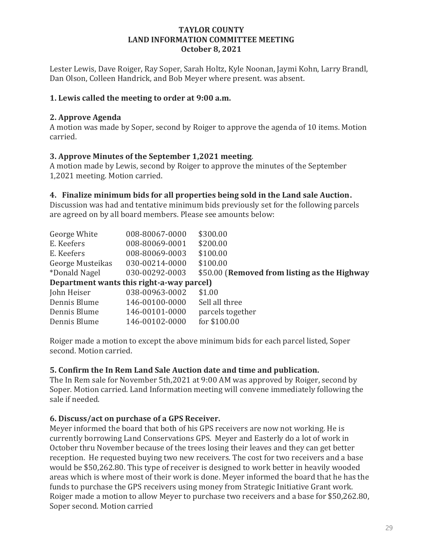## TAYLOR COUNTY LAND INFORMATION COMMITTEE MEETING October 8, 2021

Lester Lewis, Dave Roiger, Ray Soper, Sarah Holtz, Kyle Noonan, Jaymi Kohn, Larry Brandl, Dan Olson, Colleen Handrick, and Bob Meyer where present. was absent.

## 1. Lewis called the meeting to order at 9:00 a.m.

## 2. Approve Agenda

A motion was made by Soper, second by Roiger to approve the agenda of 10 items. Motion carried.

## 3. Approve Minutes of the September 1,2021 meeting.

A motion made by Lewis, second by Roiger to approve the minutes of the September 1,2021 meeting. Motion carried.

## 4. Finalize minimum bids for all properties being sold in the Land sale Auction.

Discussion was had and tentative minimum bids previously set for the following parcels are agreed on by all board members. Please see amounts below:

| George White                              | 008-80067-0000 | \$300.00                                     |  |  |  |
|-------------------------------------------|----------------|----------------------------------------------|--|--|--|
| E. Keefers                                | 008-80069-0001 | \$200.00                                     |  |  |  |
| E. Keefers                                | 008-80069-0003 | \$100.00                                     |  |  |  |
| George Musteikas                          | 030-00214-0000 | \$100.00                                     |  |  |  |
| *Donald Nagel                             | 030-00292-0003 | \$50.00 (Removed from listing as the Highway |  |  |  |
| Department wants this right-a-way parcel) |                |                                              |  |  |  |
| John Heiser                               | 038-00963-0002 | \$1.00                                       |  |  |  |
| Dennis Blume                              | 146-00100-0000 | Sell all three                               |  |  |  |
| Dennis Blume                              | 146-00101-0000 | parcels together                             |  |  |  |
| Dennis Blume                              | 146-00102-0000 | for \$100.00                                 |  |  |  |
|                                           |                |                                              |  |  |  |

Roiger made a motion to except the above minimum bids for each parcel listed, Soper second. Motion carried.

## 5. Confirm the In Rem Land Sale Auction date and time and publication.

The In Rem sale for November 5th,2021 at 9:00 AM was approved by Roiger, second by Soper. Motion carried. Land Information meeting will convene immediately following the sale if needed.

## 6. Discuss/act on purchase of a GPS Receiver.

Meyer informed the board that both of his GPS receivers are now not working. He is currently borrowing Land Conservations GPS. Meyer and Easterly do a lot of work in October thru November because of the trees losing their leaves and they can get better reception. He requested buying two new receivers. The cost for two receivers and a base would be \$50,262.80. This type of receiver is designed to work better in heavily wooded areas which is where most of their work is done. Meyer informed the board that he has the funds to purchase the GPS receivers using money from Strategic Initiative Grant work. Roiger made a motion to allow Meyer to purchase two receivers and a base for \$50,262.80, Soper second. Motion carried